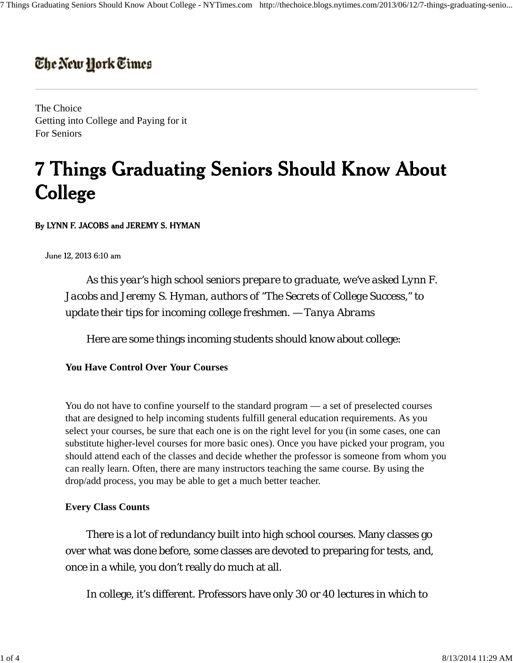# The New York Times

The Choice Getting into College and Paying for it For Seniors

# **7 Things Graduating Seniors Should Know About** College

By LYNN F. JACOBS and JEREMY S. HYMAN

June 12, 2013 6:10 am

*As this year's high school seniors prepare to graduate, we've asked Lynn F. Jacobs and Jeremy S. Hyman, authors of "The Secrets of College Success," to update their tips for incoming college freshmen. — Tanya Abrams*

Here are some things incoming students should know about college:

## **You Have Control Over Your Courses**

You do not have to confine yourself to the standard program — a set of preselected courses that are designed to help incoming students fulfill general education requirements. As you select your courses, be sure that each one is on the right level for you (in some cases, one can substitute higher-level courses for more basic ones). Once you have picked your program, you should attend each of the classes and decide whether the professor is someone from whom you can really learn. Often, there are many instructors teaching the same course. By using the drop/add process, you may be able to get a much better teacher.

## **Every Class Counts**

There is a lot of redundancy built into high school courses. Many classes go over what was done before, some classes are devoted to preparing for tests, and, once in a while, you don't really do much at all.

In college, it's different. Professors have only 30 or 40 lectures in which to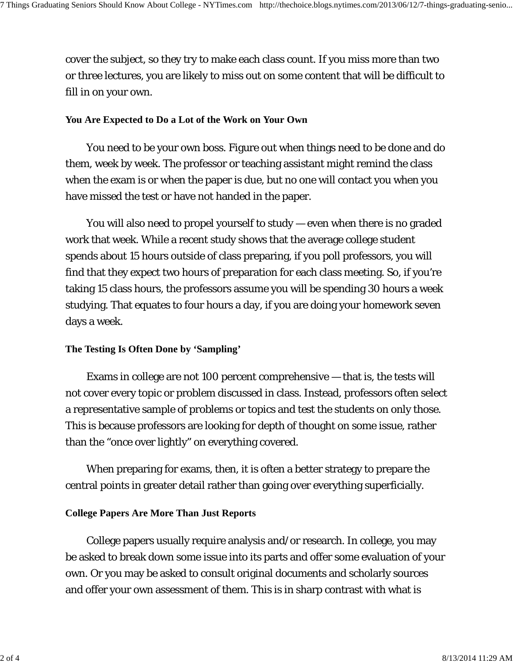cover the subject, so they try to make each class count. If you miss more than two or three lectures, you are likely to miss out on some content that will be difficult to fill in on your own.

#### **You Are Expected to Do a Lot of the Work on Your Own**

You need to be your own boss. Figure out when things need to be done and do them, week by week. The professor or teaching assistant might remind the class when the exam is or when the paper is due, but no one will contact you when you have missed the test or have not handed in the paper.

You will also need to propel yourself to study — even when there is no graded work that week. While a recent study shows that the average college student spends about 15 hours outside of class preparing, if you poll professors, you will find that they expect two hours of preparation for each class meeting. So, if you're taking 15 class hours, the professors assume you will be spending 30 hours a week studying. That equates to four hours a day, if you are doing your homework seven days a week.

#### **The Testing Is Often Done by 'Sampling'**

Exams in college are not 100 percent comprehensive — that is, the tests will not cover every topic or problem discussed in class. Instead, professors often select a representative sample of problems or topics and test the students on only those. This is because professors are looking for depth of thought on some issue, rather than the "once over lightly" on everything covered.

When preparing for exams, then, it is often a better strategy to prepare the central points in greater detail rather than going over everything superficially.

#### **College Papers Are More Than Just Reports**

College papers usually require analysis and/or research. In college, you may be asked to break down some issue into its parts and offer some evaluation of your own. Or you may be asked to consult original documents and scholarly sources and offer your own assessment of them. This is in sharp contrast with what is